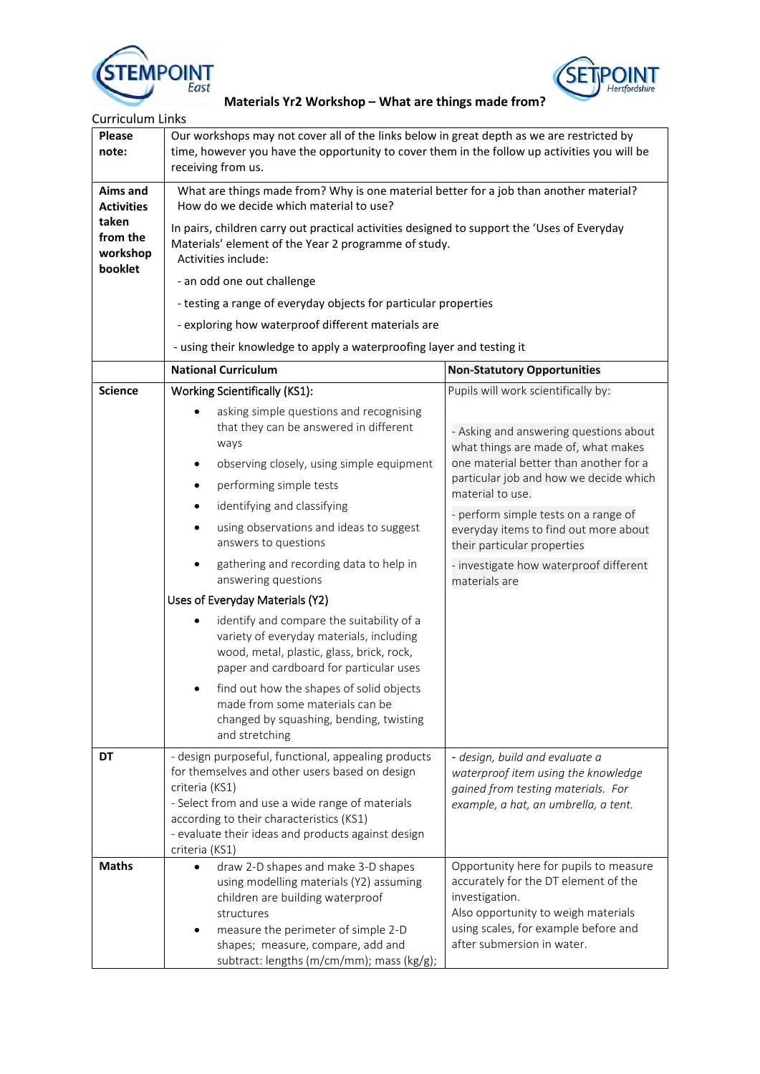



| <b>Curriculum Links</b>                  |                                                                                                                                                                                                                                                                                                                                                                                                                                                                                                                                                 |                                                                                                                                                                                                               |  |                                      |                                     |
|------------------------------------------|-------------------------------------------------------------------------------------------------------------------------------------------------------------------------------------------------------------------------------------------------------------------------------------------------------------------------------------------------------------------------------------------------------------------------------------------------------------------------------------------------------------------------------------------------|---------------------------------------------------------------------------------------------------------------------------------------------------------------------------------------------------------------|--|--------------------------------------|-------------------------------------|
| Please<br>note:                          | Our workshops may not cover all of the links below in great depth as we are restricted by<br>time, however you have the opportunity to cover them in the follow up activities you will be<br>receiving from us.                                                                                                                                                                                                                                                                                                                                 |                                                                                                                                                                                                               |  |                                      |                                     |
| <b>Aims and</b><br><b>Activities</b>     | What are things made from? Why is one material better for a job than another material?<br>How do we decide which material to use?<br>In pairs, children carry out practical activities designed to support the 'Uses of Everyday<br>Materials' element of the Year 2 programme of study.<br>Activities include:<br>- an odd one out challenge<br>- testing a range of everyday objects for particular properties<br>- exploring how waterproof different materials are<br>- using their knowledge to apply a waterproofing layer and testing it |                                                                                                                                                                                                               |  |                                      |                                     |
| taken<br>from the<br>workshop<br>booklet |                                                                                                                                                                                                                                                                                                                                                                                                                                                                                                                                                 |                                                                                                                                                                                                               |  |                                      |                                     |
|                                          |                                                                                                                                                                                                                                                                                                                                                                                                                                                                                                                                                 |                                                                                                                                                                                                               |  |                                      |                                     |
|                                          |                                                                                                                                                                                                                                                                                                                                                                                                                                                                                                                                                 |                                                                                                                                                                                                               |  |                                      |                                     |
|                                          |                                                                                                                                                                                                                                                                                                                                                                                                                                                                                                                                                 |                                                                                                                                                                                                               |  | <b>National Curriculum</b>           | <b>Non-Statutory Opportunities</b>  |
| <b>Science</b>                           |                                                                                                                                                                                                                                                                                                                                                                                                                                                                                                                                                 |                                                                                                                                                                                                               |  | <b>Working Scientifically (KS1):</b> | Pupils will work scientifically by: |
|                                          | asking simple questions and recognising<br>that they can be answered in different<br>ways<br>observing closely, using simple equipment<br>$\bullet$                                                                                                                                                                                                                                                                                                                                                                                             | - Asking and answering questions about<br>what things are made of, what makes<br>one material better than another for a                                                                                       |  |                                      |                                     |
|                                          | performing simple tests<br>$\bullet$                                                                                                                                                                                                                                                                                                                                                                                                                                                                                                            | particular job and how we decide which                                                                                                                                                                        |  |                                      |                                     |
|                                          | identifying and classifying<br>$\bullet$                                                                                                                                                                                                                                                                                                                                                                                                                                                                                                        | material to use.                                                                                                                                                                                              |  |                                      |                                     |
|                                          | using observations and ideas to suggest<br>$\bullet$<br>answers to questions                                                                                                                                                                                                                                                                                                                                                                                                                                                                    | - perform simple tests on a range of<br>everyday items to find out more about<br>their particular properties                                                                                                  |  |                                      |                                     |
|                                          | gathering and recording data to help in<br>answering questions                                                                                                                                                                                                                                                                                                                                                                                                                                                                                  | - investigate how waterproof different<br>materials are                                                                                                                                                       |  |                                      |                                     |
|                                          | Uses of Everyday Materials (Y2)                                                                                                                                                                                                                                                                                                                                                                                                                                                                                                                 |                                                                                                                                                                                                               |  |                                      |                                     |
|                                          | identify and compare the suitability of a<br>٠<br>variety of everyday materials, including<br>wood, metal, plastic, glass, brick, rock,<br>paper and cardboard for particular uses                                                                                                                                                                                                                                                                                                                                                              |                                                                                                                                                                                                               |  |                                      |                                     |
|                                          | find out how the shapes of solid objects<br>made from some materials can be<br>changed by squashing, bending, twisting<br>and stretching                                                                                                                                                                                                                                                                                                                                                                                                        |                                                                                                                                                                                                               |  |                                      |                                     |
| DT                                       | - design purposeful, functional, appealing products<br>for themselves and other users based on design<br>criteria (KS1)<br>- Select from and use a wide range of materials<br>according to their characteristics (KS1)<br>- evaluate their ideas and products against design<br>criteria (KS1)                                                                                                                                                                                                                                                  | - design, build and evaluate a<br>waterproof item using the knowledge<br>gained from testing materials. For<br>example, a hat, an umbrella, a tent.                                                           |  |                                      |                                     |
| <b>Maths</b>                             | draw 2-D shapes and make 3-D shapes<br>$\bullet$<br>using modelling materials (Y2) assuming<br>children are building waterproof<br>structures<br>measure the perimeter of simple 2-D<br>shapes; measure, compare, add and<br>subtract: lengths (m/cm/mm); mass (kg/g);                                                                                                                                                                                                                                                                          | Opportunity here for pupils to measure<br>accurately for the DT element of the<br>investigation.<br>Also opportunity to weigh materials<br>using scales, for example before and<br>after submersion in water. |  |                                      |                                     |